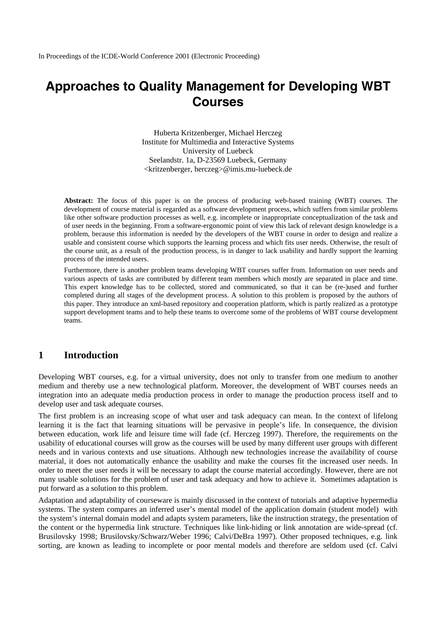# **Approaches to Quality Management for Developing WBT Courses**

Huberta Kritzenberger, Michael Herczeg Institute for Multimedia and Interactive Systems University of Luebeck Seelandstr. 1a, D-23569 Luebeck, Germany <kritzenberger, herczeg>@imis.mu-luebeck.de

**Abstract:** The focus of this paper is on the process of producing web-based training (WBT) courses. The development of course material is regarded as a software development process, which suffers from similar problems like other software production processes as well, e.g. incomplete or inappropriate conceptualization of the task and of user needs in the beginning. From a software-ergonomic point of view this lack of relevant design knowledge is a problem, because this information is needed by the developers of the WBT course in order to design and realize a usable and consistent course which supports the learning process and which fits user needs. Otherwise, the result of the course unit, as a result of the production process, is in danger to lack usability and hardly support the learning process of the intended users.

Furthermore, there is another problem teams developing WBT courses suffer from. Information on user needs and various aspects of tasks are contributed by different team members which mostly are separated in place and time. This expert knowledge has to be collected, stored and communicated, so that it can be (re-)used and further completed during all stages of the development process. A solution to this problem is proposed by the authors of this paper. They introduce an xml-based repository and cooperation platform, which is partly realized as a prototype support development teams and to help these teams to overcome some of the problems of WBT course development teams.

#### **1 Introduction**

Developing WBT courses, e.g. for a virtual university, does not only to transfer from one medium to another medium and thereby use a new technological platform. Moreover, the development of WBT courses needs an integration into an adequate media production process in order to manage the production process itself and to develop user and task adequate courses.

The first problem is an increasing scope of what user and task adequacy can mean. In the context of lifelong learning it is the fact that learning situations will be pervasive in people's life. In consequence, the division between education, work life and leisure time will fade (cf. Herczeg 1997). Therefore, the requirements on the usability of educational courses will grow as the courses will be used by many different user groups with different needs and in various contexts and use situations. Although new technologies increase the availability of course material, it does not automatically enhance the usability and make the courses fit the increased user needs. In order to meet the user needs it will be necessary to adapt the course material accordingly. However, there are not many usable solutions for the problem of user and task adequacy and how to achieve it. Sometimes adaptation is put forward as a solution to this problem.

Adaptation and adaptability of courseware is mainly discussed in the context of tutorials and adaptive hypermedia systems. The system compares an inferred user's mental model of the application domain (student model) with the system's internal domain model and adapts system parameters, like the instruction strategy, the presentation of the content or the hypermedia link structure. Techniques like link-hiding or link annotation are wide-spread (cf. Brusilovsky 1998; Brusilovsky/Schwarz/Weber 1996; Calvi/DeBra 1997). Other proposed techniques, e.g. link sorting, are known as leading to incomplete or poor mental models and therefore are seldom used (cf. Calvi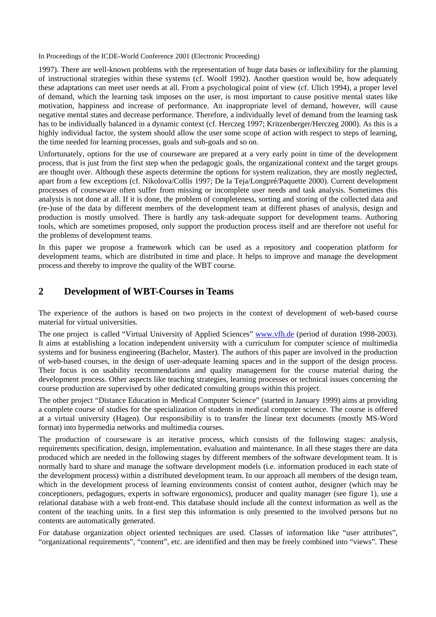In Proceedings of the ICDE-World Conference 2001 (Electronic Proceeding)

1997). There are well-known problems with the representation of huge data bases or inflexibility for the planning of instructional strategies within these systems (cf. Woolf 1992). Another question would be, how adequately these adaptations can meet user needs at all. From a psychological point of view (cf. Ulich 1994), a proper level of demand, which the learning task imposes on the user, is most important to cause positive mental states like motivation, happiness and increase of performance. An inappropriate level of demand, however, will cause negative mental states and decrease performance. Therefore, a individually level of demand from the learning task has to be individually balanced in a dynamic context (cf. Herczeg 1997; Kritzenberger/Herczeg 2000). As this is a highly individual factor, the system should allow the user some scope of action with respect to steps of learning, the time needed for learning processes, goals and sub-goals and so on.

Unfortunately, options for the use of courseware are prepared at a very early point in time of the development process, that is just from the first step when the pedagogic goals, the organizational context and the target groups are thought over. Although these aspects determine the options for system realization, they are mostly neglected, apart from a few exceptions (cf. Nikolova/Collis 1997; De la Teja/Longpré/Paquette 2000). Current development processes of courseware often suffer from missing or incomplete user needs and task analysis. Sometimes this analysis is not done at all. If it is done, the problem of completeness, sorting and storing of the collected data and (re-)use of the data by different members of the development team at different phases of analysis, design and production is mostly unsolved. There is hardly any task-adequate support for development teams. Authoring tools, which are sometimes proposed, only support the production process itself and are therefore not useful for the problems of development teams.

In this paper we propose a framework which can be used as a repository and cooperation platform for development teams, which are distributed in time and place. It helps to improve and manage the development process and thereby to improve the quality of the WBT course.

## **2 Development of WBT-Courses in Teams**

The experience of the authors is based on two projects in the context of development of web-based course material for virtual universities.

The one project is called "Virtual University of Applied Sciences" www.vfh.de (period of duration 1998-2003). It aims at establishing a location independent university with a curriculum for computer science of multimedia systems and for business engineering (Bachelor, Master). The authors of this paper are involved in the production of web-based courses, in the design of user-adequate learning spaces and in the support of the design process. Their focus is on usability recommendations and quality management for the course material during the development process. Other aspects like teaching strategies, learning processes or technical issues concerning the course production are supervised by other dedicated consulting groups within this project.

The other project "Distance Education in Medical Computer Science" (started in January 1999) aims at providing a complete course of studies for the specialization of students in medical computer science. The course is offered at a virtual university (Hagen). Our responsibility is to transfer the linear text documents (mostly MS-Word format) into hypermedia networks and multimedia courses.

The production of courseware is an iterative process, which consists of the following stages: analysis, requirements specification, design, implementation, evaluation and maintenance. In all these stages there are data produced which are needed in the following stages by different members of the software development team. It is normally hard to share and manage the software development models (i.e. information produced in each state of the development process) within a distributed development team. In our approach all members of the design team, which in the development process of learning environments consist of content author, designer (which may be conceptioners, pedagogues, experts in software ergonomics), producer and quality manager (see figure 1), use a relational database with a web front-end. This database should include all the context information as well as the content of the teaching units. In a first step this information is only presented to the involved persons but no contents are automatically generated.

For database organization object oriented techniques are used. Classes of information like "user attributes", "organizational requirements", "content", etc. are identified and then may be freely combined into "views". These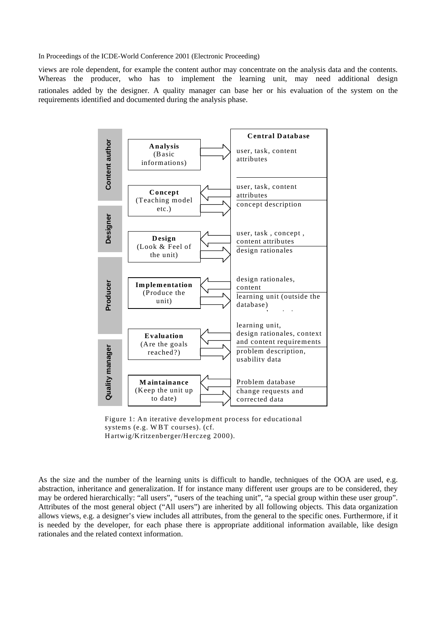In Proceedings of the ICDE-World Conference 2001 (Electronic Proceeding)

views are role dependent, for example the content author may concentrate on the analysis data and the contents. Whereas the producer, who has to implement the learning unit, may need additional design rationales added by the designer. A quality manager can base her or his evaluation of the system on the requirements identified and documented during the analysis phase.



Figure 1: An iterative development process for educational systems (e.g. W BT courses). (cf. Hartwig/Kritzenberger/Herczeg 2000).

As the size and the number of the learning units is difficult to handle, techniques of the OOA are used, e.g. abstraction, inheritance and generalization. If for instance many different user groups are to be considered, they may be ordered hierarchically: "all users", "users of the teaching unit", "a special group within these user group". Attributes of the most general object ("All users") are inherited by all following objects. This data organization allows views, e.g. a designer's view includes all attributes, from the general to the specific ones. Furthermore, if it is needed by the developer, for each phase there is appropriate additional information available, like design rationales and the related context information.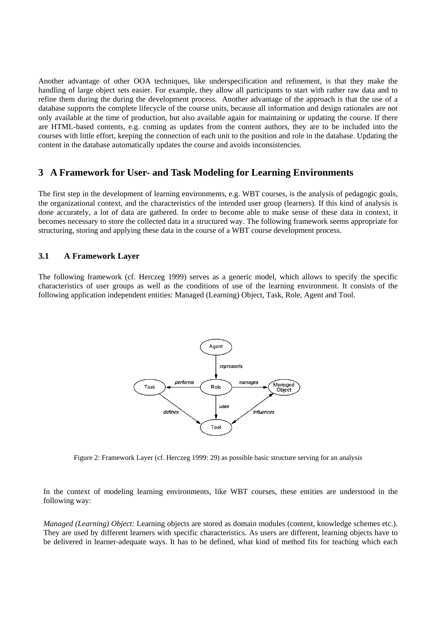Another advantage of other OOA techniques, like underspecification and refinement, is that they make the handling of large object sets easier. For example, they allow all participants to start with rather raw data and to refine them during the during the development process. Another advantage of the approach is that the use of a database supports the complete lifecycle of the course units, because all information and design rationales are not only available at the time of production, but also available again for maintaining or updating the course. If there are HTML-based contents, e.g. coming as updates from the content authors, they are to be included into the courses with little effort, keeping the connection of each unit to the position and role in the database. Updating the content in the database automatically updates the course and avoids inconsistencies.

# **3 A Framework for User- and Task Modeling for Learning Environments**

The first step in the development of learning environments, e.g. WBT courses, is the analysis of pedagogic goals, the organizational context, and the characteristics of the intended user group (learners). If this kind of analysis is done accurately, a lot of data are gathered. In order to become able to make sense of these data in context, it becomes necessary to store the collected data in a structured way. The following framework seems appropriate for structuring, storing and applying these data in the course of a WBT course development process.

#### **3.1 A Framework Layer**

The following framework (cf. Herczeg 1999) serves as a generic model, which allows to specify the specific characteristics of user groups as well as the conditions of use of the learning environment. It consists of the following application independent entities: Managed (Learning) Object, Task, Role, Agent and Tool.



Figure 2: Framework Layer (cf. Herczeg 1999: 29) as possible basic structure serving for an analysis

In the context of modeling learning environments, like WBT courses, these entities are understood in the following way:

*Managed (Learning) Object:* Learning objects are stored as domain modules (content, knowledge schemes etc.). They are used by different learners with specific characteristics. As users are different, learning objects have to be delivered in learner-adequate ways. It has to be defined, what kind of method fits for teaching which each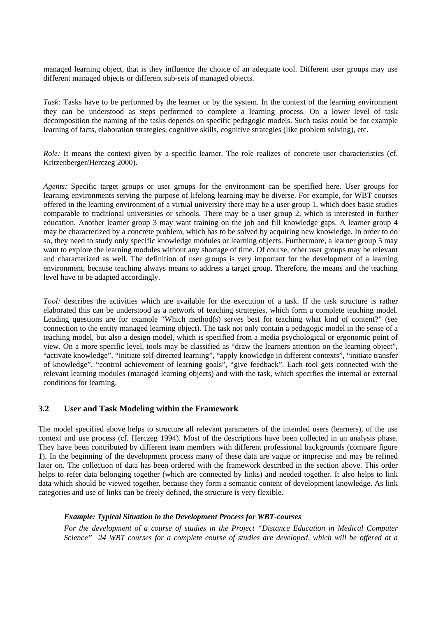managed learning object, that is they influence the choice of an adequate tool. Different user groups may use different managed objects or different sub-sets of managed objects.

*Task:* Tasks have to be performed by the learner or by the system. In the context of the learning environment they can be understood as steps performed to complete a learning process. On a lower level of task decomposition the naming of the tasks depends on specific pedagogic models. Such tasks could be for example learning of facts, elaboration strategies, cognitive skills, cognitive strategies (like problem solving), etc.

*Role:* It means the context given by a specific learner. The role realizes of concrete user characteristics (cf. Kritzenberger/Herczeg 2000).

*Agents:* Specific target groups or user groups for the environment can be specified here. User groups for learning environments serving the purpose of lifelong learning may be diverse. For example, for WBT courses offered in the learning environment of a virtual university there may be a user group 1, which does basic studies comparable to traditional universities or schools. There may be a user group 2, which is interested in further education. Another learner group 3 may want training on the job and fill knowledge gaps. A learner group 4 may be characterized by a concrete problem, which has to be solved by acquiring new knowledge. In order to do so, they need to study only specific knowledge modules or learning objects. Furthermore, a learner group 5 may want to explore the learning modules without any shortage of time. Of course, other user groups may be relevant and characterized as well. The definition of user groups is very important for the development of a learning environment, because teaching always means to address a target group. Therefore, the means and the teaching level have to be adapted accordingly.

*Tool:* describes the activities which are available for the execution of a task. If the task structure is rather elaborated this can be understood as a network of teaching strategies, which form a complete teaching model. Leading questions are for example "Which method(s) serves best for teaching what kind of content?" (see connection to the entity managed learning object). The task not only contain a pedagogic model in the sense of a teaching model, but also a design model, which is specified from a media psychological or ergonomic point of view. On a more specific level, tools may be classified as "draw the learners attention on the learning object", "activate knowledge", "initiate self-directed learning", "apply knowledge in different contexts", "initiate transfer of knowledge", "control achievement of learning goals", "give feedback". Each tool gets connected with the relevant learning modules (managed learning objects) and with the task, which specifies the internal or external conditions for learning.

#### **3.2 User and Task Modeling within the Framework**

The model specified above helps to structure all relevant parameters of the intended users (learners), of the use context and use process (cf. Herczeg 1994). Most of the descriptions have been collected in an analysis phase. They have been contributed by different team members with different professional backgrounds (compare figure 1). In the beginning of the development process many of these data are vague or imprecise and may be refined later on. The collection of data has been ordered with the framework described in the section above. This order helps to refer data belonging together (which are connected by links) and needed together. It also helps to link data which should be viewed together, because they form a semantic content of development knowledge. As link categories and use of links can be freely defined, the structure is very flexible.

#### *Example: Typical Situation in the Development Process for WBT-courses*

*For the development of a course of studies in the Project "Distance Education in Medical Computer Science" 24 WBT courses for a complete course of studies are developed, which will be offered at a*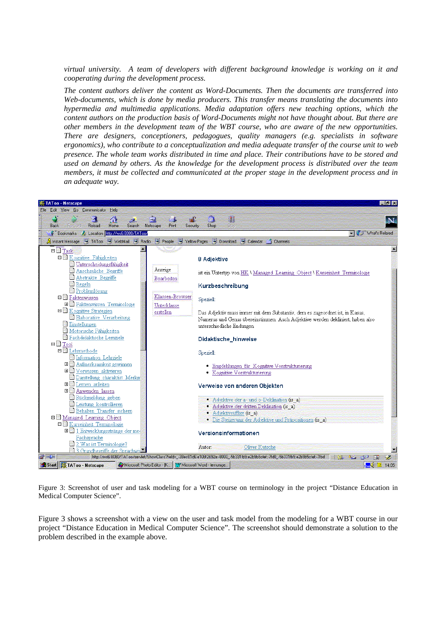*virtual university. A team of developers with different background knowledge is working on it and cooperating during the development process.* 

*The content authors deliver the content as Word-Documents. Then the documents are transferred into Web-documents, which is done by media producers. This transfer means translating the documents into hypermedia and multimedia applications. Media adaptation offers new teaching options, which the content authors on the production basis of Word-Documents might not have thought about. But there are other members in the development team of the WBT course, who are aware of the new opportunities. There are designers, conceptioners, pedagogues, quality managers (e.g. specialists in software ergonomics), who contribute to a conceptualization and media adequate transfer of the course unit to web presence. The whole team works distributed in time and place. Their contributions have to be stored and used on demand by others. As the knowledge for the development process is distributed over the team members, it must be collected and communicated at the proper stage in the development process and in an adequate way.* 



Figure 3: Screenshot of user and task modeling for a WBT course on terminology in the project "Distance Education in Medical Computer Science".

Figure 3 shows a screenshot with a view on the user and task model from the modeling for a WBT course in our project "Distance Education in Medical Computer Science". The screenshot should demonstrate a solution to the problem described in the example above.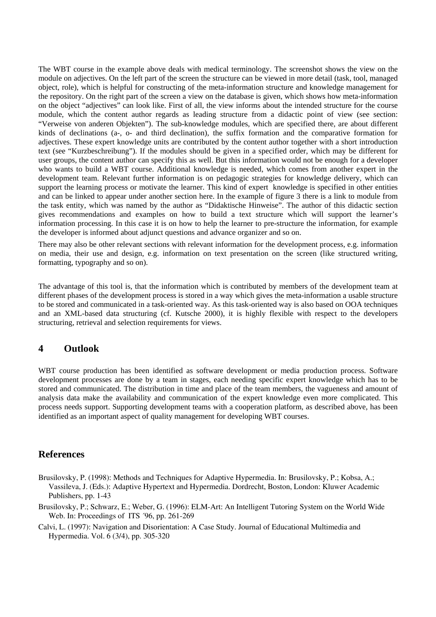The WBT course in the example above deals with medical terminology. The screenshot shows the view on the module on adjectives. On the left part of the screen the structure can be viewed in more detail (task, tool, managed object, role), which is helpful for constructing of the meta-information structure and knowledge management for the repository. On the right part of the screen a view on the database is given, which shows how meta-information on the object "adjectives" can look like. First of all, the view informs about the intended structure for the course module, which the content author regards as leading structure from a didactic point of view (see section: "Verweise von anderen Objekten"). The sub-knowledge modules, which are specified there, are about different kinds of declinations (a-, o- and third declination), the suffix formation and the comparative formation for adjectives. These expert knowledge units are contributed by the content author together with a short introduction text (see "Kurzbeschreibung"). If the modules should be given in a specified order, which may be different for user groups, the content author can specify this as well. But this information would not be enough for a developer who wants to build a WBT course. Additional knowledge is needed, which comes from another expert in the development team. Relevant further information is on pedagogic strategies for knowledge delivery, which can support the learning process or motivate the learner. This kind of expert knowledge is specified in other entities and can be linked to appear under another section here. In the example of figure 3 there is a link to module from the task entity, which was named by the author as "Didaktische Hinweise". The author of this didactic section gives recommendations and examples on how to build a text structure which will support the learner's information processing. In this case it is on how to help the learner to pre-structure the information, for example the developer is informed about adjunct questions and advance organizer and so on.

There may also be other relevant sections with relevant information for the development process, e.g. information on media, their use and design, e.g. information on text presentation on the screen (like structured writing, formatting, typography and so on).

The advantage of this tool is, that the information which is contributed by members of the development team at different phases of the development process is stored in a way which gives the meta-information a usable structure to be stored and communicated in a task-oriented way. As this task-oriented way is also based on OOA techniques and an XML-based data structuring (cf. Kutsche 2000), it is highly flexible with respect to the developers structuring, retrieval and selection requirements for views.

## **4 Outlook**

WBT course production has been identified as software development or media production process. Software development processes are done by a team in stages, each needing specific expert knowledge which has to be stored and communicated. The distribution in time and place of the team members, the vagueness and amount of analysis data make the availability and communication of the expert knowledge even more complicated. This process needs support. Supporting development teams with a cooperation platform, as described above, has been identified as an important aspect of quality management for developing WBT courses.

#### **References**

- Brusilovsky, P. (1998): Methods and Techniques for Adaptive Hypermedia. In: Brusilovsky, P.; Kobsa, A.; Vassileva, J. (Eds.): Adaptive Hypertext and Hypermedia. Dordrecht, Boston, London: Kluwer Academic Publishers, pp. 1-43
- Brusilovsky, P.; Schwarz, E.; Weber, G. (1996): ELM-Art: An Intelligent Tutoring System on the World Wide Web. In: Proceedings of ITS  $\,$ 96, pp. 261-269
- Calvi, L. (1997): Navigation and Disorientation: A Case Study. Journal of Educational Multimedia and Hypermedia. Vol. 6 (3/4), pp. 305-320